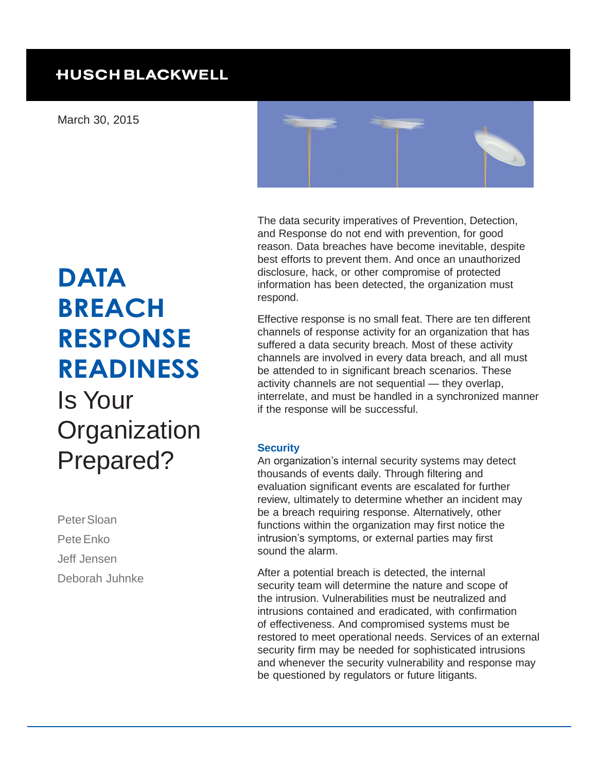# **HUSCH BLACKWELL**

March 30, 2015



and Response do not end with prevention, for good reason. Data breaches have become inevitable, despite best efforts to prevent them. And once an unauthorized disclosure, hack, or other compromise of protected information has been detected, the organization must respond.

The data security imperatives of Prevention, Detection,

Effective response is no small feat. There are ten different channels of response activity for an organization that has suffered a data security breach. Most of these activity channels are involved in every data breach, and all must be attended to in significant breach scenarios. These activity channels are not sequential — they overlap, interrelate, and must be handled in a synchronized manner if the response will be successful.

#### **Security**

An organization's internal security systems may detect thousands of events daily. Through filtering and evaluation significant events are escalated for further review, ultimately to determine whether an incident may be a breach requiring response. Alternatively, other functions within the organization may first notice the intrusion's symptoms, or external parties may first sound the alarm.

After a potential breach is detected, the internal security team will determine the nature and scope of the intrusion. Vulnerabilities must be neutralized and intrusions contained and eradicated, with confirmation of effectiveness. And compromised systems must be restored to meet operational needs. Services of an external security firm may be needed for sophisticated intrusions and whenever the security vulnerability and response may be questioned by regulators or future litigants.

# **DATA BREACH RESPONSE READINESS** Is Your **Organization** Prepared?

Peter Sloan Pete Enko Jeff Jensen Deborah Juhnke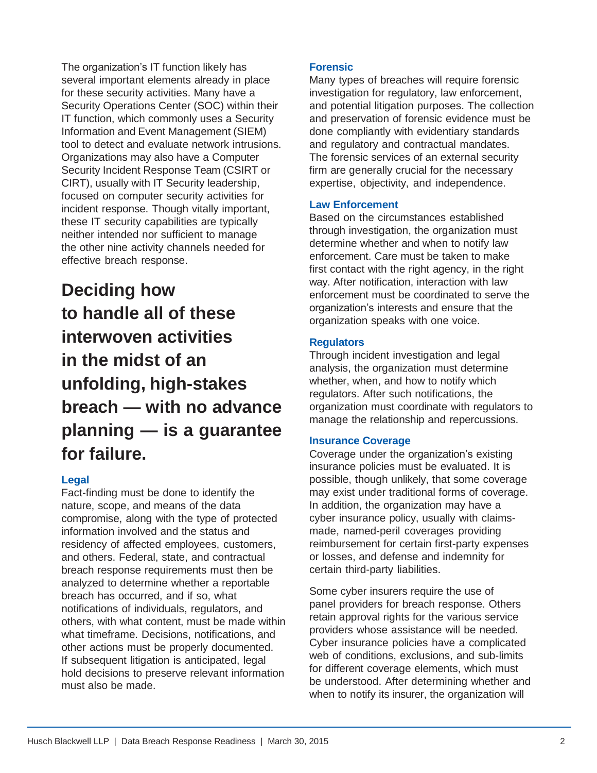The organization's IT function likely has several important elements already in place for these security activities. Many have a Security Operations Center (SOC) within their IT function, which commonly uses a Security Information and Event Management (SIEM) tool to detect and evaluate network intrusions. Organizations may also have a Computer Security Incident Response Team (CSIRT or CIRT), usually with IT Security leadership, focused on computer security activities for incident response. Though vitally important, these IT security capabilities are typically neither intended nor sufficient to manage the other nine activity channels needed for effective breach response.

# **Deciding how to handle all of these interwoven activities in the midst of an unfolding, high-stakes breach — with no advance planning — is a guarantee for failure.**

#### **Legal**

Fact-finding must be done to identify the nature, scope, and means of the data compromise, along with the type of protected information involved and the status and residency of affected employees, customers, and others. Federal, state, and contractual breach response requirements must then be analyzed to determine whether a reportable breach has occurred, and if so, what notifications of individuals, regulators, and others, with what content, must be made within what timeframe. Decisions, notifications, and other actions must be properly documented. If subsequent litigation is anticipated, legal hold decisions to preserve relevant information must also be made.

#### **Forensic**

Many types of breaches will require forensic investigation for regulatory, law enforcement, and potential litigation purposes. The collection and preservation of forensic evidence must be done compliantly with evidentiary standards and regulatory and contractual mandates. The forensic services of an external security firm are generally crucial for the necessary expertise, objectivity, and independence.

#### **Law Enforcement**

Based on the circumstances established through investigation, the organization must determine whether and when to notify law enforcement. Care must be taken to make first contact with the right agency, in the right way. After notification, interaction with law enforcement must be coordinated to serve the organization's interests and ensure that the organization speaks with one voice.

#### **Regulators**

Through incident investigation and legal analysis, the organization must determine whether, when, and how to notify which regulators. After such notifications, the organization must coordinate with regulators to manage the relationship and repercussions.

#### **Insurance Coverage**

Coverage under the organization's existing insurance policies must be evaluated. It is possible, though unlikely, that some coverage may exist under traditional forms of coverage. In addition, the organization may have a cyber insurance policy, usually with claimsmade, named-peril coverages providing reimbursement for certain first-party expenses or losses, and defense and indemnity for certain third-party liabilities.

Some cyber insurers require the use of panel providers for breach response. Others retain approval rights for the various service providers whose assistance will be needed. Cyber insurance policies have a complicated web of conditions, exclusions, and sub-limits for different coverage elements, which must be understood. After determining whether and when to notify its insurer, the organization will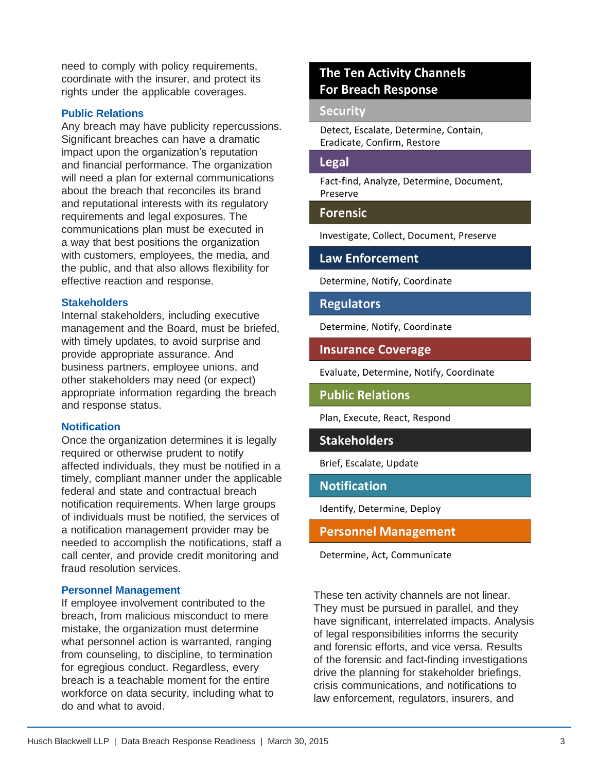need to comply with policy requirements, coordinate with the insurer, and protect its rights under the applicable coverages.

#### **Public Relations**

Any breach may have publicity repercussions. Significant breaches can have a dramatic impact upon the organization's reputation and financial performance. The organization will need a plan for external communications about the breach that reconciles its brand and reputational interests with its regulatory requirements and legal exposures. The communications plan must be executed in a way that best positions the organization with customers, employees, the media, and the public, and that also allows flexibility for effective reaction and response.

#### **Stakeholders**

Internal stakeholders, including executive management and the Board, must be briefed, with timely updates, to avoid surprise and provide appropriate assurance. And business partners, employee unions, and other stakeholders may need (or expect) appropriate information regarding the breach and response status.

#### **Notification**

Once the organization determines it is legally required or otherwise prudent to notify affected individuals, they must be notified in a timely, compliant manner under the applicable federal and state and contractual breach notification requirements. When large groups of individuals must be notified, the services of a notification management provider may be needed to accomplish the notifications, staff a call center, and provide credit monitoring and fraud resolution services.

#### **Personnel Management**

If employee involvement contributed to the breach, from malicious misconduct to mere mistake, the organization must determine what personnel action is warranted, ranging from counseling, to discipline, to termination for egregious conduct. Regardless, every breach is a teachable moment for the entire workforce on data security, including what to do and what to avoid.

# **The Ten Activity Channels For Breach Response**

#### **Security**

Detect, Escalate, Determine, Contain, Eradicate, Confirm, Restore

#### Legal

Fact-find, Analyze, Determine, Document, Preserve

#### **Forensic**

Investigate, Collect, Document, Preserve

#### **Law Enforcement**

Determine, Notify, Coordinate

#### **Regulators**

Determine, Notify, Coordinate

**Insurance Coverage** 

Evaluate, Determine, Notify, Coordinate

**Public Relations** 

Plan, Execute, React, Respond

#### **Stakeholders**

Brief, Escalate, Update

#### **Notification**

Identify, Determine, Deploy

**Personnel Management** 

Determine, Act, Communicate

These ten activity channels are not linear. They must be pursued in parallel, and they have significant, interrelated impacts. Analysis of legal responsibilities informs the security and forensic efforts, and vice versa. Results of the forensic and fact-finding investigations drive the planning for stakeholder briefings, crisis communications, and notifications to law enforcement, regulators, insurers, and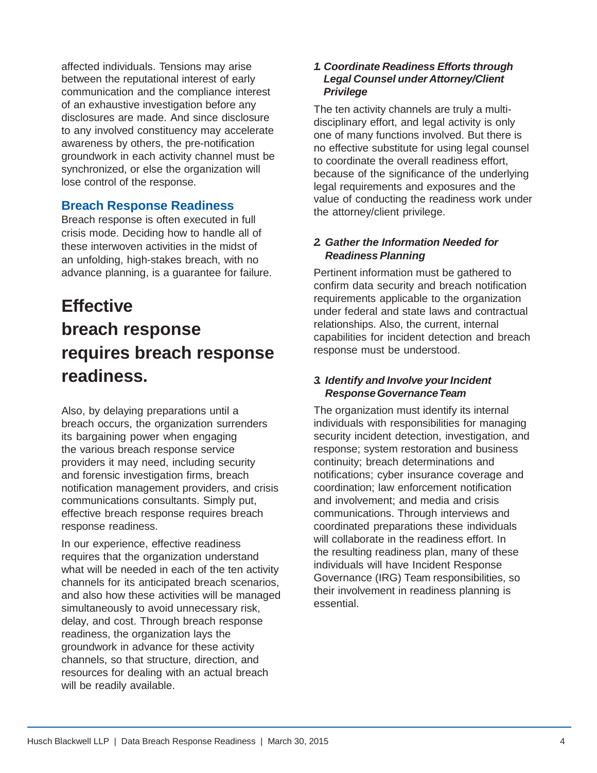affected individuals. Tensions may arise between the reputational interest of early communication and the compliance interest of an exhaustive investigation before any disclosures are made. And since disclosure to any involved constituency may accelerate awareness by others, the pre-notification groundwork in each activity channel must be synchronized, or else the organization will lose control of the response.

### **Breach Response Readiness**

Breach response is often executed in full crisis mode. Deciding how to handle all of these interwoven activities in the midst of an unfolding, high-stakes breach, with no advance planning, is a guarantee for failure.

# **Effective breach response requires breach response readiness.**

Also, by delaying preparations until a breach occurs, the organization surrenders its bargaining power when engaging the various breach response service providers it may need, including security and forensic investigation firms, breach notification management providers, and crisis communications consultants. Simply put, effective breach response requires breach response readiness.

In our experience, effective readiness requires that the organization understand what will be needed in each of the ten activity channels for its anticipated breach scenarios, and also how these activities will be managed simultaneously to avoid unnecessary risk, delay, and cost. Through breach response readiness, the organization lays the groundwork in advance for these activity channels, so that structure, direction, and resources for dealing with an actual breach will be readily available.

#### *1. Coordinate Readiness Efforts through Legal Counsel under Attorney/Client Privilege*

The ten activity channels are truly a multidisciplinary effort, and legal activity is only one of many functions involved. But there is no effective substitute for using legal counsel to coordinate the overall readiness effort, because of the significance of the underlying legal requirements and exposures and the value of conducting the readiness work under the attorney/client privilege.

#### *2. Gather the Information Needed for Readiness Planning*

Pertinent information must be gathered to confirm data security and breach notification requirements applicable to the organization under federal and state laws and contractual relationships. Also, the current, internal capabilities for incident detection and breach response must be understood.

#### *3. Identify and Involve your Incident ResponseGovernanceTeam*

The organization must identify its internal individuals with responsibilities for managing security incident detection, investigation, and response; system restoration and business continuity; breach determinations and notifications; cyber insurance coverage and coordination; law enforcement notification and involvement; and media and crisis communications. Through interviews and coordinated preparations these individuals will collaborate in the readiness effort. In the resulting readiness plan, many of these individuals will have Incident Response Governance (IRG) Team responsibilities, so their involvement in readiness planning is essential.